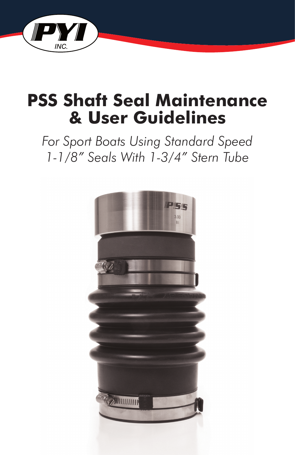

# **PSS Shaft Seal Maintenance & User Guidelines**

*For Sport Boats Using Standard Speed 1-1/8" Seals With 1-3/4" Stern Tube*

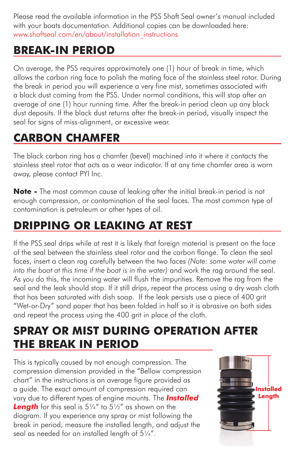Please read the available information in the PSS Shaft Seal owner's manual included with your boats documentation. Additional copies can be downloaded here: www.shaftseal.com/en/about/installation\_instructions

# **BREAK-IN PERIOD**

On average, the PSS requires approximately one (1) hour of break in time, which allows the carbon ring face to polish the mating face of the stainless steel rotor. During the break in period you will experience a very fine mist, sometimes associated with a black dust coming from the PSS. Under normal conditions, this will stop after an average of one (1) hour running time. After the break-in period clean up any black dust deposits. If the black dust returns after the break-in period, visually inspect the seal for signs of miss-alignment, or excessive wear.

#### **CARBON CHAMFER**

The black carbon ring has a chamfer (bevel) machined into it where it contacts the stainless steel rotor that acts as a wear indicator. If at any time chamfer area is worn away, please contact PYI Inc.

**Note -** The most common cause of leaking after the initial break-in period is not enough compression, or contamination of the seal faces. The most common type of contamination is petroleum or other types of oil.

#### **DRIPPING OR LEAKING AT REST**

If the PSS seal drips while at rest it is likely that foreign material is present on the face of the seal between the stainless steel rotor and the carbon flange. To clean the seal faces, insert a clean rag carefully between the two faces *(Note: some water will come into the boat at this time if the boat is in the water)* and work the rag around the seal. As you do this, the incoming water will flush the impurities. Remove the rag from the seal and the leak should stop. If it still drips, repeat the process using a dry wash cloth that has been saturated with dish soap. If the leak persists use a piece of 400 grit "Wet-or-Dry" sand paper that has been folded in half so it is abrasive on both sides and repeat the process using the 400 grit in place of the cloth.

#### **SPRAY OR MIST DURING OPERATION AFTER THE BREAK IN PERIOD**

This is typically caused by not enough compression. The compression dimension provided in the "Bellow compression chart" in the instructions is an average figure provided as a guide. The exact amount of compression required can vary due to different types of engine mounts. The *Installed*  **Length** for this seal is 5¼" to 5½" as shown on the diagram. If you experience any spray or mist following the break in period, measure the installed length, and adjust the seal as needed for an installed length of 5¼".

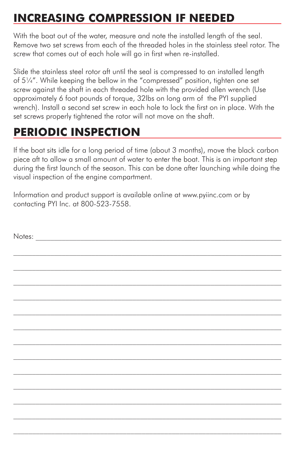# **INCREASING COMPRESSION IF NEEDED**

With the boat out of the water, measure and note the installed length of the seal. Remove two set screws from each of the threaded holes in the stainless steel rotor. The screw that comes out of each hole will go in first when re-installed.

Slide the stainless steel rotor aft until the seal is compressed to an installed length of 5¼". While keeping the bellow in the "compressed" position, tighten one set screw against the shaft in each threaded hole with the provided allen wrench (Use approximately 6 foot pounds of torque, 32lbs on long arm of the PYI supplied wrench). Install a second set screw in each hole to lock the first on in place. With the set screws properly tightened the rotor will not move on the shaft.

## **PERIODIC INSPECTION**

If the boat sits idle for a long period of time (about 3 months), move the black carbon piece aft to allow a small amount of water to enter the boat. This is an important step during the first launch of the season. This can be done after launching while doing the visual inspection of the engine compartment.

Information and product support is available online at www.pyiinc.com or by contacting PYI Inc. at 800-523-7558.